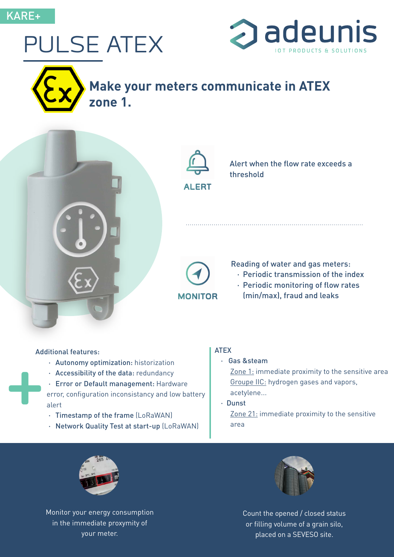## PULSE ATEX





# **ALERT**

Alert when the flow rate exceeds a threshold



Reading of water and gas meters:

- · Periodic transmission of the index
- · Periodic monitoring of flow rates (min/max), fraud and leaks

## Ad Additional features:

- · Autonomy optimization: historization
- · Accessibility of the data: redundancy
- · Error or Default management: Hardware

error, configuration inconsistancy and low battery alert

- · Timestamp of the frame (LoRaWAN)
- · Network Quality Test at start-up (LoRaWAN)

#### ATEX

· Gas &steam

Zone 1: immediate proximity to the sensitive area Groupe IIC: hydrogen gases and vapors,

acetylene... · Dunst Zone 21: immediate proximity to the sensitive area



Monitor your energy consumption in the immediate proxymity of your meter.



Count the opened / closed status or filling volume of a grain silo, placed on a SEVESO site.